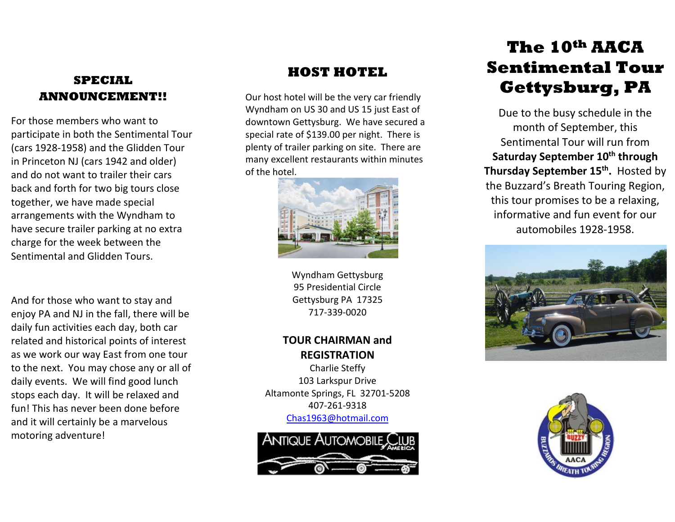# **SPECIAL ANNOUNCEMENT!!**

For those members who want to participate in both the Sentimental Tour (cars 1928-1958) and the Glidden Tour in Princeton NJ (cars 1942 and older) and do not want to trailer their cars back and forth for two big tours close together, we have made special arrangements with the Wyndham to have secure trailer parking at no extra charge for the week between the Sentimental and Glidden Tours.

And for those who want to stay and enjoy PA and NJ in the fall, there will be daily fun activities each day, both car related and historical points of interest as we work our way East from one tour to the next. You may chose any or all of daily events. We will find good lunch stops each day. It will be relaxed and fun! This has never been done before and it will certainly be a marvelous motoring adventure!

## **HOST HOTEL**

Our host hotel will be the very car friendly Wyndham on US 30 and US 15 just East of downtown Gettysburg. We have secured a special rate of \$139.00 per night. There is plenty of trailer parking on site. There are many excellent restaurants within minutes of the hotel.



Wyndham Gettysburg 95 Presidential Circle Gettysburg PA 17325 717-339-0020

## **TOUR CHAIRMAN and REGISTRATION**

Charlie Steffy 103 Larkspur Drive Altamonte Springs, FL 32701-5208 407-261-9318 [Chas1963@hotmail.com](mailto:Chas1963@hotmail.com)



# **The 10th AACA Sentimental Tour Gettysburg, PA**

Due to the busy schedule in the month of September, this Sentimental Tour will run from **Saturday September 10<sup>th</sup> through** Thursday September 15<sup>th</sup>. Hosted by the Buzzard's Breath Touring Region, this tour promises to be a relaxing, informative and fun event for our automobiles 1928-1958.